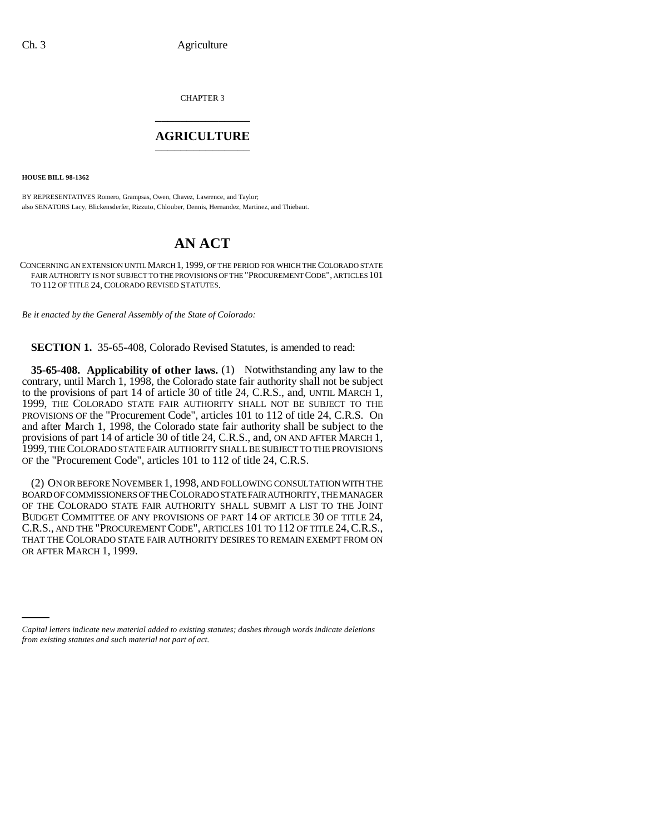CHAPTER 3 \_\_\_\_\_\_\_\_\_\_\_\_\_\_\_

## **AGRICULTURE** \_\_\_\_\_\_\_\_\_\_\_\_\_\_\_

**HOUSE BILL 98-1362**

BY REPRESENTATIVES Romero, Grampsas, Owen, Chavez, Lawrence, and Taylor; also SENATORS Lacy, Blickensderfer, Rizzuto, Chlouber, Dennis, Hernandez, Martinez, and Thiebaut.

## **AN ACT**

CONCERNING AN EXTENSION UNTIL MARCH 1, 1999, OF THE PERIOD FOR WHICH THE COLORADO STATE FAIR AUTHORITY IS NOT SUBJECT TO THE PROVISIONS OF THE "PROCUREMENT CODE", ARTICLES 101 TO 112 OF TITLE 24, COLORADO REVISED STATUTES.

*Be it enacted by the General Assembly of the State of Colorado:*

**SECTION 1.** 35-65-408, Colorado Revised Statutes, is amended to read:

**35-65-408. Applicability of other laws.** (1) Notwithstanding any law to the contrary, until March 1, 1998, the Colorado state fair authority shall not be subject to the provisions of part 14 of article 30 of title 24, C.R.S., and, UNTIL MARCH 1, 1999, THE COLORADO STATE FAIR AUTHORITY SHALL NOT BE SUBJECT TO THE PROVISIONS OF the "Procurement Code", articles 101 to 112 of title 24, C.R.S. On and after March 1, 1998, the Colorado state fair authority shall be subject to the provisions of part 14 of article 30 of title 24, C.R.S., and, ON AND AFTER MARCH 1, 1999, THE COLORADO STATE FAIR AUTHORITY SHALL BE SUBJECT TO THE PROVISIONS OF the "Procurement Code", articles 101 to 112 of title 24, C.R.S.

(2) ON OR BEFORE NOVEMBER 1, 1998, AND FOLLOWING CONSULTATION WITH THE BOARD OF COMMISSIONERS OF THE COLORADO STATE FAIR AUTHORITY, THE MANAGER OF THE COLORADO STATE FAIR AUTHORITY SHALL SUBMIT A LIST TO THE JOINT BUDGET COMMITTEE OF ANY PROVISIONS OF PART 14 OF ARTICLE 30 OF TITLE 24, C.R.S., AND THE "PROCUREMENT CODE", ARTICLES 101 TO 112 OF TITLE 24,C.R.S., THAT THE COLORADO STATE FAIR AUTHORITY DESIRES TO REMAIN EXEMPT FROM ON OR AFTER MARCH 1, 1999.

*Capital letters indicate new material added to existing statutes; dashes through words indicate deletions from existing statutes and such material not part of act.*